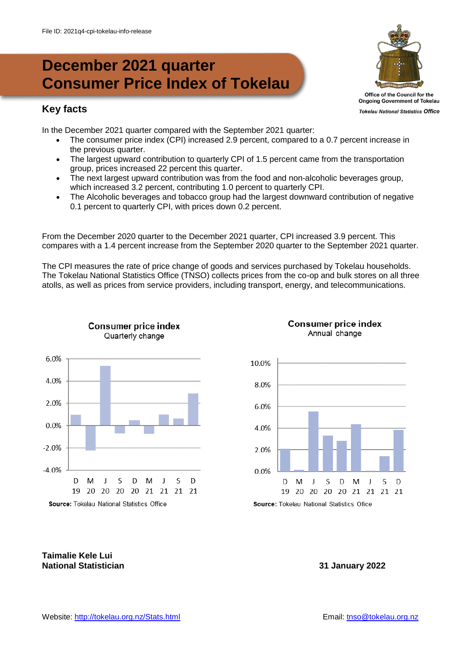# **December 2021 quarter Consumer Price Index of Tokelau**

# **Key facts**

In the December 2021 quarter compared with the September 2021 quarter:

- The consumer price index (CPI) increased 2.9 percent, compared to a 0.7 percent increase in the previous quarter.
- The largest upward contribution to quarterly CPI of 1.5 percent came from the transportation group, prices increased 22 percent this quarter.
- The next largest upward contribution was from the food and non-alcoholic beverages group, which increased 3.2 percent, contributing 1.0 percent to quarterly CPI.
- The Alcoholic beverages and tobacco group had the largest downward contribution of negative 0.1 percent to quarterly CPI, with prices down 0.2 percent.

From the December 2020 quarter to the December 2021 quarter, CPI increased 3.9 percent. This compares with a 1.4 percent increase from the September 2020 quarter to the September 2021 quarter.

The CPI measures the rate of price change of goods and services purchased by Tokelau households. The Tokelau National Statistics Office (TNSO) collects prices from the co-op and bulk stores on all three atolls, as well as prices from service providers, including transport, energy, and telecommunications.



**Consumer price index** 



#### **Consumer price index** Annual change

Source: Tokelau National Statistics Ofice

### **Taimalie Kele Lui National Statistician 31 January 2022**



**Tokelau National Statistics Office**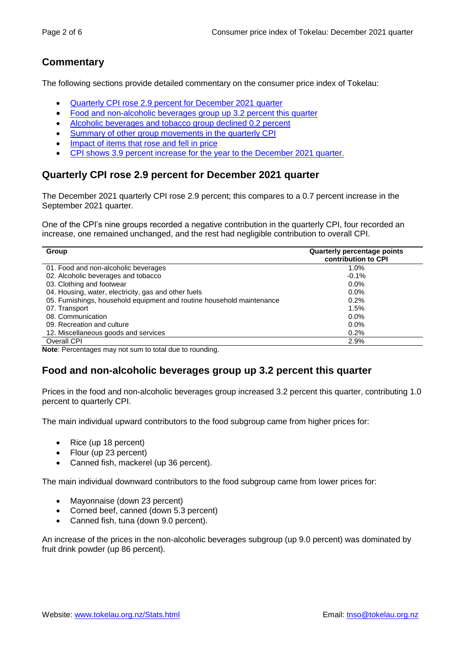# **Commentary**

The following sections provide detailed commentary on the consumer price index of Tokelau:

- Quarterly CPI rose 2.9 [percent for December](#page-1-0) 2021 quarter
- [Food and non-alcoholic beverages group up](#page-1-1) 3.2 percent this quarter
- [Alcoholic beverages and tobacco group d](#page-2-0)eclined 0.2 percent
- [Summary of other group movements in the quarterly CPI](#page-2-1)
- [Impact of items that rose and fell in price](#page-2-2)
- CPI shows 3.9 [percent increase for the year to the December](#page-3-0) 2021 quarter.

# <span id="page-1-0"></span>**Quarterly CPI rose 2.9 percent for December 2021 quarter**

The December 2021 quarterly CPI rose 2.9 percent; this compares to a 0.7 percent increase in the September 2021 quarter.

One of the CPI's nine groups recorded a negative contribution in the quarterly CPI, four recorded an increase, one remained unchanged, and the rest had negligible contribution to overall CPI.

| Quarterly percentage points<br><b>contribution to CPI</b> |
|-----------------------------------------------------------|
| 1.0%                                                      |
| $-0.1%$                                                   |
| $0.0\%$                                                   |
| $0.0\%$                                                   |
| $0.2\%$                                                   |
| 1.5%                                                      |
| $0.0\%$                                                   |
| $0.0\%$                                                   |
| 0.2%                                                      |
| 2.9%                                                      |
|                                                           |

**Note**: Percentages may not sum to total due to rounding.

# <span id="page-1-1"></span>**Food and non-alcoholic beverages group up 3.2 percent this quarter**

Prices in the food and non-alcoholic beverages group increased 3.2 percent this quarter, contributing 1.0 percent to quarterly CPI.

The main individual upward contributors to the food subgroup came from higher prices for:

- Rice (up 18 percent)
- Flour (up 23 percent)
- Canned fish, mackerel (up 36 percent).

The main individual downward contributors to the food subgroup came from lower prices for:

- Mayonnaise (down 23 percent)
- Corned beef, canned (down 5.3 percent)
- Canned fish, tuna (down 9.0 percent).

An increase of the prices in the non-alcoholic beverages subgroup (up 9.0 percent) was dominated by fruit drink powder (up 86 percent).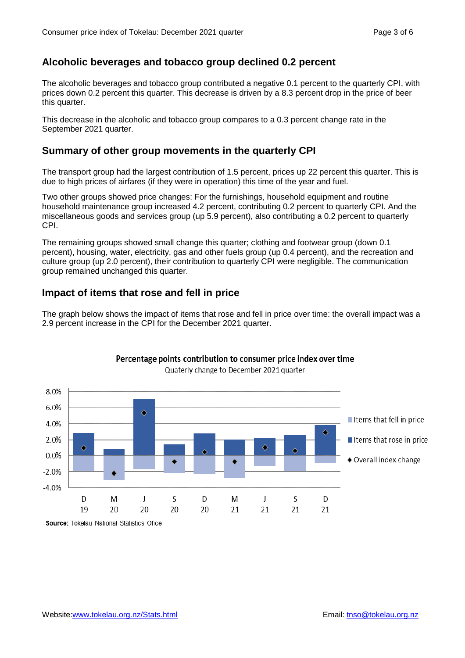# <span id="page-2-0"></span>**Alcoholic beverages and tobacco group declined 0.2 percent**

The alcoholic beverages and tobacco group contributed a negative 0.1 percent to the quarterly CPI, with prices down 0.2 percent this quarter. This decrease is driven by a 8.3 percent drop in the price of beer this quarter.

This decrease in the alcoholic and tobacco group compares to a 0.3 percent change rate in the September 2021 quarter.

### <span id="page-2-1"></span>**Summary of other group movements in the quarterly CPI**

The transport group had the largest contribution of 1.5 percent, prices up 22 percent this quarter. This is due to high prices of airfares (if they were in operation) this time of the year and fuel.

Two other groups showed price changes: For the furnishings, household equipment and routine household maintenance group increased 4.2 percent, contributing 0.2 percent to quarterly CPI. And the miscellaneous goods and services group (up 5.9 percent), also contributing a 0.2 percent to quarterly CPI.

The remaining groups showed small change this quarter; clothing and footwear group (down 0.1 percent), housing, water, electricity, gas and other fuels group (up 0.4 percent), and the recreation and culture group (up 2.0 percent), their contribution to quarterly CPI were negligible. The communication group remained unchanged this quarter.

# <span id="page-2-2"></span>**Impact of items that rose and fell in price**

The graph below shows the impact of items that rose and fell in price over time: the overall impact was a 2.9 percent increase in the CPI for the December 2021 quarter.



#### Percentage points contribution to consumer price index over time Quaterly change to December 2021 quarter

Source: Tokelau National Statistics Ofice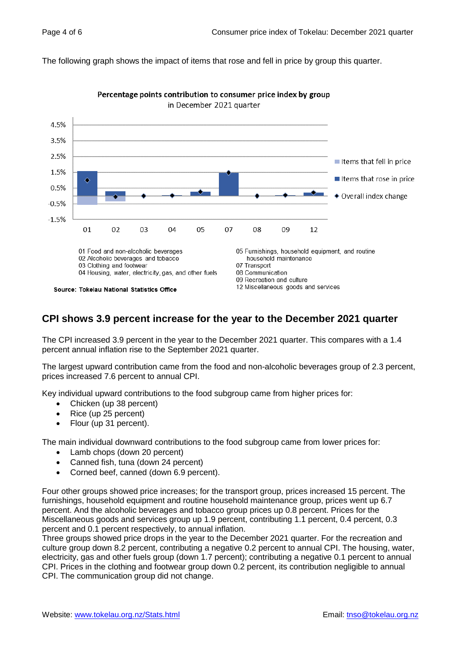The following graph shows the impact of items that rose and fell in price by group this quarter.



Percentage points contribution to consumer price index by group in December 2021 quarter

### <span id="page-3-0"></span>**CPI shows 3.9 percent increase for the year to the December 2021 quarter**

The CPI increased 3.9 percent in the year to the December 2021 quarter. This compares with a 1.4 percent annual inflation rise to the September 2021 quarter.

The largest upward contribution came from the food and non-alcoholic beverages group of 2.3 percent, prices increased 7.6 percent to annual CPI.

Key individual upward contributions to the food subgroup came from higher prices for:

- Chicken (up 38 percent)
- Rice (up 25 percent)
- Flour (up 31 percent).

The main individual downward contributions to the food subgroup came from lower prices for:

- Lamb chops (down 20 percent)
- Canned fish, tuna (down 24 percent)
- Corned beef, canned (down 6.9 percent).

Four other groups showed price increases; for the transport group, prices increased 15 percent. The furnishings, household equipment and routine household maintenance group, prices went up 6.7 percent. And the alcoholic beverages and tobacco group prices up 0.8 percent. Prices for the Miscellaneous goods and services group up 1.9 percent, contributing 1.1 percent, 0.4 percent, 0.3 percent and 0.1 percent respectively, to annual inflation.

Three groups showed price drops in the year to the December 2021 quarter. For the recreation and culture group down 8.2 percent, contributing a negative 0.2 percent to annual CPI. The housing, water, electricity, gas and other fuels group (down 1.7 percent); contributing a negative 0.1 percent to annual CPI. Prices in the clothing and footwear group down 0.2 percent, its contribution negligible to annual CPI. The communication group did not change.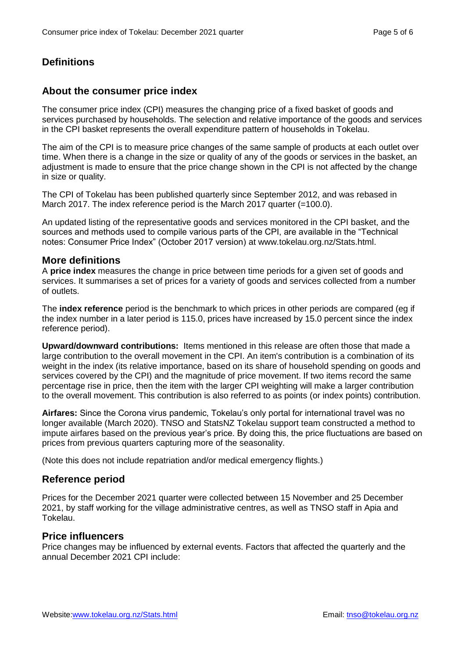# **Definitions**

# **About the consumer price index**

The consumer price index (CPI) measures the changing price of a fixed basket of goods and services purchased by households. The selection and relative importance of the goods and services in the CPI basket represents the overall expenditure pattern of households in Tokelau.

The aim of the CPI is to measure price changes of the same sample of products at each outlet over time. When there is a change in the size or quality of any of the goods or services in the basket, an adjustment is made to ensure that the price change shown in the CPI is not affected by the change in size or quality.

The CPI of Tokelau has been published quarterly since September 2012, and was rebased in March 2017. The index reference period is the March 2017 quarter (=100.0).

An updated listing of the representative goods and services monitored in the CPI basket, and the sources and methods used to compile various parts of the CPI, are available in the "Technical notes: Consumer Price Index" (October 2017 version) at www.tokelau.org.nz/Stats.html.

### **More definitions**

A **price index** measures the change in price between time periods for a given set of goods and services. It summarises a set of prices for a variety of goods and services collected from a number of outlets.

The **index reference** period is the benchmark to which prices in other periods are compared (eg if the index number in a later period is 115.0, prices have increased by 15.0 percent since the index reference period).

**Upward/downward contributions:** Items mentioned in this release are often those that made a large contribution to the overall movement in the CPI. An item's contribution is a combination of its weight in the index (its relative importance, based on its share of household spending on goods and services covered by the CPI) and the magnitude of price movement. If two items record the same percentage rise in price, then the item with the larger CPI weighting will make a larger contribution to the overall movement. This contribution is also referred to as points (or index points) contribution.

**Airfares:** Since the Corona virus pandemic, Tokelau's only portal for international travel was no longer available (March 2020). TNSO and StatsNZ Tokelau support team constructed a method to impute airfares based on the previous year's price. By doing this, the price fluctuations are based on prices from previous quarters capturing more of the seasonality.

(Note this does not include repatriation and/or medical emergency flights.)

### **Reference period**

Prices for the December 2021 quarter were collected between 15 November and 25 December 2021, by staff working for the village administrative centres, as well as TNSO staff in Apia and Tokelau.

#### **Price influencers**

Price changes may be influenced by external events. Factors that affected the quarterly and the annual December 2021 CPI include: